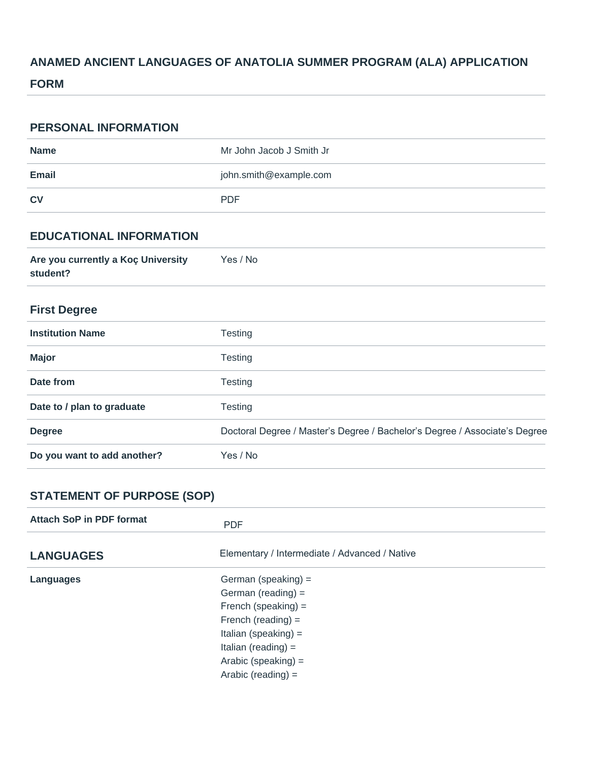# **ANAMED ANCIENT LANGUAGES OF ANATOLIA SUMMER PROGRAM (ALA) APPLICATION**

### **FORM**

| <b>PERSONAL INFORMATION</b>                    |                                                                            |
|------------------------------------------------|----------------------------------------------------------------------------|
| <b>Name</b>                                    | Mr John Jacob J Smith Jr                                                   |
| <b>Email</b>                                   | john.smith@example.com                                                     |
| <b>CV</b>                                      | <b>PDF</b>                                                                 |
| <b>EDUCATIONAL INFORMATION</b>                 |                                                                            |
| Are you currently a Koç University<br>student? | Yes / No                                                                   |
| <b>First Degree</b>                            |                                                                            |
| <b>Institution Name</b>                        | <b>Testing</b>                                                             |
| <b>Major</b>                                   | <b>Testing</b>                                                             |
| Date from                                      | <b>Testing</b>                                                             |
| Date to / plan to graduate                     | <b>Testing</b>                                                             |
| <b>Degree</b>                                  | Doctoral Degree / Master's Degree / Bachelor's Degree / Associate's Degree |
| Do you want to add another?                    | Yes / No                                                                   |

# **STATEMENT OF PURPOSE (SOP)**

| Attach SoP in PDF format | <b>PDF</b>                                    |  |
|--------------------------|-----------------------------------------------|--|
| <b>LANGUAGES</b>         | Elementary / Intermediate / Advanced / Native |  |
| Languages                | German (speaking) $=$                         |  |
|                          | German (reading) $=$                          |  |
|                          | French (speaking) $=$                         |  |
|                          | French (reading) $=$                          |  |
|                          | Italian (speaking) $=$                        |  |
|                          | Italian (reading) $=$                         |  |
|                          | Arabic (speaking) $=$                         |  |
|                          | Arabic (reading) $=$                          |  |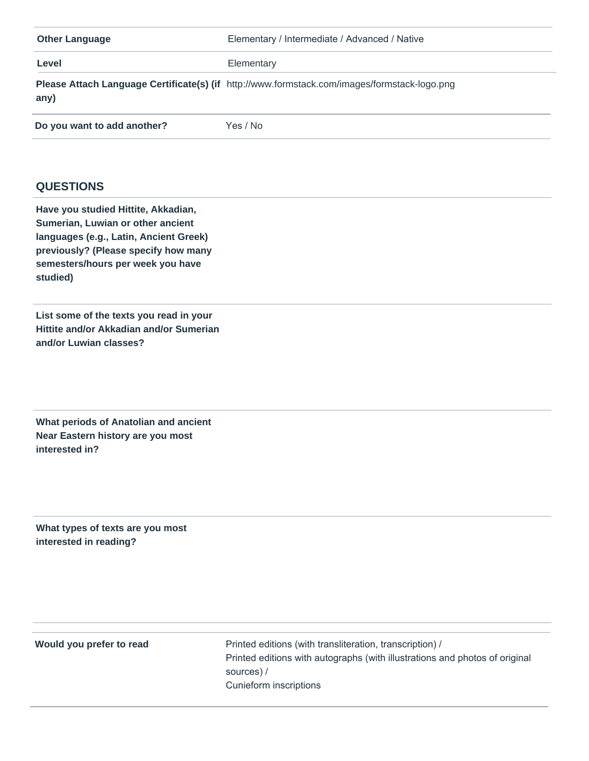| <b>Other Language</b>       | Elementary / Intermediate / Advanced / Native                                                |
|-----------------------------|----------------------------------------------------------------------------------------------|
| Level                       | Elementary                                                                                   |
| any)                        | Please Attach Language Certificate(s) (if http://www.formstack.com/images/formstack-logo.png |
| Do you want to add another? | Yes / No                                                                                     |

#### **QUESTIONS**

**Have you studied Hittite, Akkadian, Sumerian, Luwian or other ancient languages (e.g., Latin, Ancient Greek) previously? (Please specify how many semesters/hours per week you have studied)**

**List some of the texts you read in your Hittite and/or Akkadian and/or Sumerian and/or Luwian classes?**

**What periods of Anatolian and ancient Near Eastern history are you most interested in?**

**What types of texts are you most interested in reading?**

**Would you prefer to read** Printed editions (with transliteration, transcription) / Printed editions with autographs (with illustrations and photos of original sources) / Cunieform inscriptions